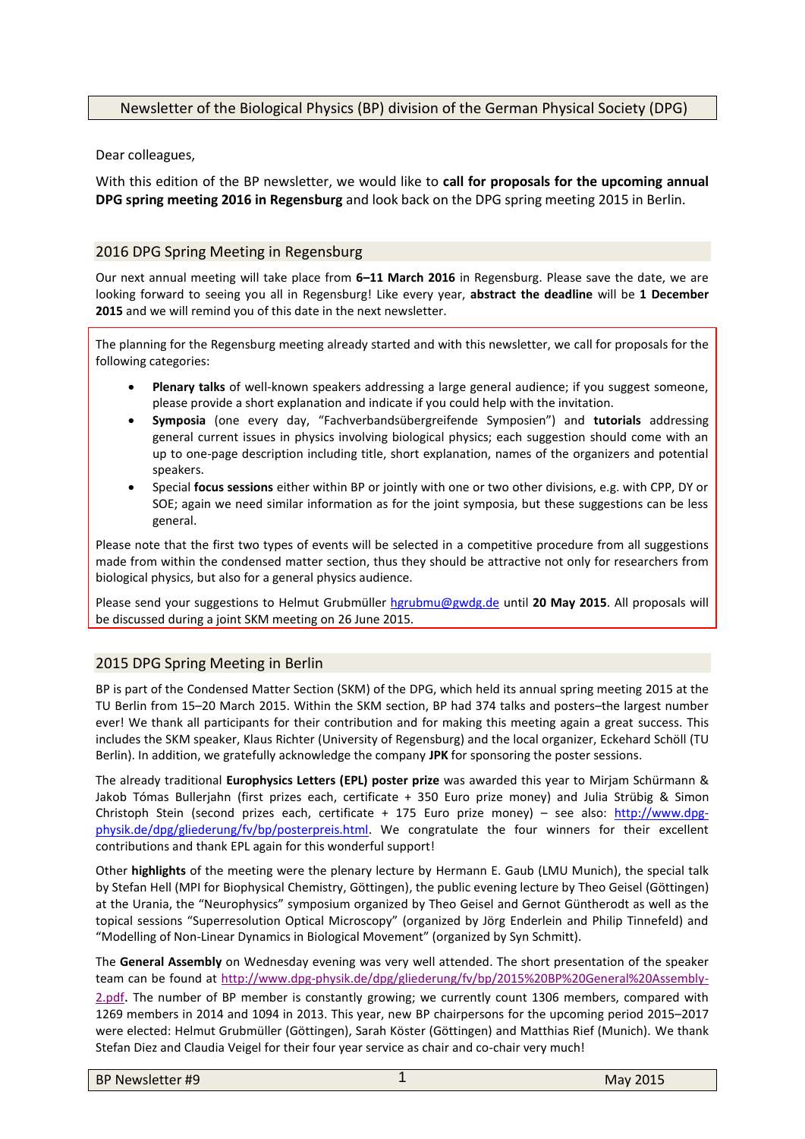# Newsletter of the Biological Physics (BP) division of the German Physical Society (DPG)

Dear colleagues,

With this edition of the BP newsletter, we would like to **call for proposals for the upcoming annual DPG spring meeting 2016 in Regensburg** and look back on the DPG spring meeting 2015 in Berlin.

## 2016 DPG Spring Meeting in Regensburg

Our next annual meeting will take place from **6–11 March 2016** in Regensburg. Please save the date, we are looking forward to seeing you all in Regensburg! Like every year, **abstract the deadline** will be **1 December 2015** and we will remind you of this date in the next newsletter.

The planning for the Regensburg meeting already started and with this newsletter, we call for proposals for the following categories:

- **Plenary talks** of well-known speakers addressing a large general audience; if you suggest someone, please provide a short explanation and indicate if you could help with the invitation.
- **Symposia** (one every day, "Fachverbandsübergreifende Symposien") and **tutorials** addressing general current issues in physics involving biological physics; each suggestion should come with an up to one-page description including title, short explanation, names of the organizers and potential speakers.
- Special **focus sessions** either within BP or jointly with one or two other divisions, e.g. with CPP, DY or SOE; again we need similar information as for the joint symposia, but these suggestions can be less general.

Please note that the first two types of events will be selected in a competitive procedure from all suggestions made from within the condensed matter section, thus they should be attractive not only for researchers from biological physics, but also for a general physics audience.

Please send your suggestions to Helmut Grubmüller [hgrubmu@gwdg.de](mailto:hgrubmu@gwdg.de) until **20 May 2015**. All proposals will be discussed during a joint SKM meeting on 26 June 2015.

## 2015 DPG Spring Meeting in Berlin

BP is part of the Condensed Matter Section (SKM) of the DPG, which held its annual spring meeting 2015 at the TU Berlin from 15–20 March 2015. Within the SKM section, BP had 374 talks and posters–the largest number ever! We thank all participants for their contribution and for making this meeting again a great success. This includes the SKM speaker, Klaus Richter (University of Regensburg) and the local organizer, Eckehard Schöll (TU Berlin). In addition, we gratefully acknowledge the company **JPK** for sponsoring the poster sessions.

The already traditional **Europhysics Letters (EPL) poster prize** was awarded this year to Mirjam Schürmann & Jakob Tómas Bullerjahn (first prizes each, certificate + 350 Euro prize money) and Julia Strübig & Simon Christoph Stein (second prizes each, certificate + 175 Euro prize money) - see also: [http://www.dpg](http://www.dpg-physik.de/dpg/gliederung/fv/bp/posterpreis.html)[physik.de/dpg/gliederung/fv/bp/posterpreis.html.](http://www.dpg-physik.de/dpg/gliederung/fv/bp/posterpreis.html) We congratulate the four winners for their excellent contributions and thank EPL again for this wonderful support!

Other **highlights** of the meeting were the plenary lecture by Hermann E. Gaub (LMU Munich), the special talk by Stefan Hell (MPI for Biophysical Chemistry, Göttingen), the public evening lecture by Theo Geisel (Göttingen) at the Urania, the "Neurophysics" symposium organized by Theo Geisel and Gernot Güntherodt as well as the topical sessions "Superresolution Optical Microscopy" (organized by Jörg Enderlein and Philip Tinnefeld) and "Modelling of Non-Linear Dynamics in Biological Movement" (organized by Syn Schmitt).

The **General Assembly** on Wednesday evening was very well attended. The short presentation of the speaker team can be found at [http://www.dpg-physik.de/dpg/gliederung/fv/bp/2015%20BP%20General%20Assembly-](http://www.dpg-physik.de/dpg/gliederung/fv/bp/2015%20BP%20General%20Assembly-2.pdf)[2.pdf](http://www.dpg-physik.de/dpg/gliederung/fv/bp/2015%20BP%20General%20Assembly-2.pdf). The number of BP member is constantly growing; we currently count 1306 members, compared with 1269 members in 2014 and 1094 in 2013. This year, new BP chairpersons for the upcoming period 2015–2017 were elected: Helmut Grubmüller (Göttingen), Sarah Köster (Göttingen) and Matthias Rief (Munich). We thank Stefan Diez and Claudia Veigel for their four year service as chair and co-chair very much!